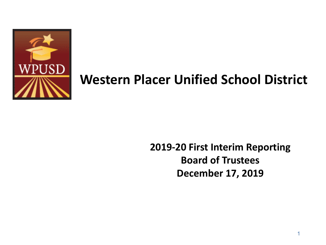

#### **Western Placer Unified School District**

#### **2019-20 First Interim Reporting Board of Trustees December 17, 2019**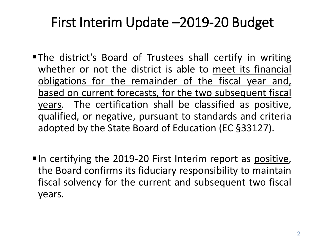### First Interim Update –2019-20 Budget

- The district's Board of Trustees shall certify in writing whether or not the district is able to meet its financial obligations for the remainder of the fiscal year and, based on current forecasts, for the two subsequent fiscal years. The certification shall be classified as positive, qualified, or negative, pursuant to standards and criteria adopted by the State Board of Education (EC §33127).
- $\blacksquare$  In certifying the 2019-20 First Interim report as positive, the Board confirms its fiduciary responsibility to maintain fiscal solvency for the current and subsequent two fiscal years.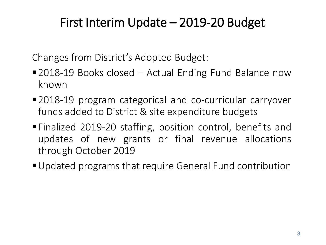#### First Interim Update – 2019-20 Budget

Changes from District's Adopted Budget:

- 2018-19 Books closed Actual Ending Fund Balance now known
- 2018-19 program categorical and co-curricular carryover funds added to District & site expenditure budgets
- Finalized 2019-20 staffing, position control, benefits and updates of new grants or final revenue allocations through October 2019
- Updated programs that require General Fund contribution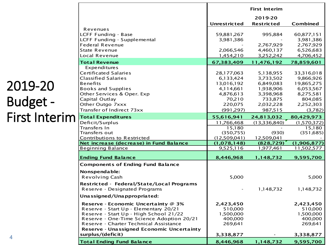|                                                                              |                             | <b>First Interim</b>     |                         |
|------------------------------------------------------------------------------|-----------------------------|--------------------------|-------------------------|
|                                                                              |                             | 2019-20                  |                         |
|                                                                              | <b>Unrestricted</b>         | <b>Restricted</b>        | Combined                |
| Revenues                                                                     |                             | 995,884                  |                         |
| <b>LCFF Funding - Base</b><br>LCFF Funding - Supplemental                    | 59,881,267<br>3,981,386     |                          | 60,877,151<br>3,981,386 |
| <b>Federal Revenue</b>                                                       |                             | 2,767,929                | 2,767,929               |
| <b>State Revenue</b>                                                         | 2,066,546                   | 4,460,137                | 6,526,683               |
| Local Revenue                                                                | 1,454,210                   | 3,252,242                | 4,706,452               |
|                                                                              |                             |                          |                         |
| <b>Total Revenue</b>                                                         | 67,383,409                  | 11,476,192               | 78,859,601              |
| <b>Expenditures</b>                                                          |                             |                          |                         |
| <b>Certificated Salaries</b>                                                 | 28,177,063                  | 5,138,955                | 33,316,018              |
| <b>Classified Salaries</b>                                                   | 6,133,424                   | 3,733,502                | 9,866,926               |
| <b>Benefits</b>                                                              | 13,016,192                  | 6,849,083                | 19,865,275              |
| <b>Books and Supplies</b>                                                    | 4,114,661<br>4,876,613      | 1,938,906                | 6,053,567               |
| Other Services & Oper. Exp<br>Capital Outlay                                 | 70,210                      | 3,398,968                | 8,275,581<br>804,085    |
| Other Outgo 7xxx                                                             | 220,075                     | 733,875<br>2,032,228     | 2,252,303               |
| Transfer of Indirect 73xx                                                    |                             |                          |                         |
|                                                                              | (991, 297)                  | 987,515                  | (3,782)                 |
| <b>Total Expenditures</b>                                                    | 55,616,941                  | 24,813,032               | 80,429,973              |
| Deficit/Surplus                                                              | 11,766,468                  | (13,336,840)             | (1,570,372)             |
| Transfers In                                                                 | 15,180                      |                          | 15,180                  |
| Transfers out                                                                | (350,755)                   | (930)                    | (351, 685)              |
| Contributions to Restricted<br>Net increase (decrease) in Fund Balance       | (12,509,041)<br>(1,078,148) | 12,509,041<br>(828, 729) | (1,906,877)             |
| <b>Beginning Balance</b>                                                     | 9,525,116                   | 1,977,461                | 11,502,577              |
|                                                                              |                             |                          |                         |
| <b>Ending Fund Balance</b>                                                   | 8,446,968                   | 1,148,732                | 9,595,700               |
| <b>Components of Ending Fund Balance</b>                                     |                             |                          |                         |
| Nonspendable:                                                                |                             |                          |                         |
| <b>Revolving Cash</b>                                                        | 5,000                       |                          | 5,000                   |
| Restricted - Federal/State/Local Programs                                    |                             |                          |                         |
| Reserve - Designated Programs                                                |                             | 1,148,732                | 1,148,732               |
| Unassigned/Unappropriated:                                                   |                             |                          |                         |
|                                                                              |                             |                          |                         |
| Reserve - Economic Uncertainty @ 3%<br>Reserve - Start Up - Elementary 20/21 | 2,423,450<br>510,000        |                          | 2,423,450<br>510,000    |
| Reserve - Start Up - High School 21/22                                       | 1,500,000                   |                          | 1,500,000               |
| Reserve - One-Time Science Adoption 20/21                                    | 400,000                     |                          | 400,000                 |
| Reserve - Charter Technical Assistance                                       | 269,641                     |                          | 269,641                 |
| Reserve - Unassigned Economic Uncertainty                                    |                             |                          |                         |
| surplus/(deficit)                                                            | 3,338,877                   |                          | 3,338,877               |
| <b>Total Ending Fund Balance</b>                                             | 8,446,968                   | 1,148,732                | 9,595,700               |

#### 2019-20 Budget - First Interim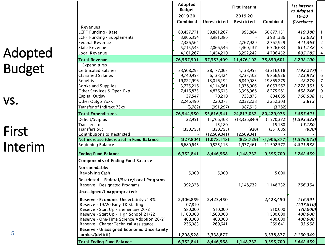### Adopted Budget

#### vs.

5

### First Interim

| 2019-20<br>2019-20<br>$19 - 20$<br>Combined<br>Combined<br>Unrestricted<br>Restricted<br><i><b>\$Variance</b></i><br>Revenues<br>LCFF Funding - Base<br>59,881,267<br>60,877,151<br>60,457,771<br>995,884<br>419,380<br>1<br>LCFF Funding - Supplemental<br>3,981,386<br>3,981,386<br>15,032<br>3,966,354<br>Federal Revenue<br>2,767,929<br>2,767,929<br>441,365<br>2,326,564<br>2<br>3<br>State Revenue<br>5,715,545<br>2,066,546<br>4,460,137<br>6,526,683<br>811,138<br>Local Revenue<br>4,706,452<br>4,101,267<br>1,454,210<br>3,252,242<br>605,185<br>4<br>76,567,501<br><b>Total Revenue</b><br>67,383,409<br>11,476,192<br>78,859,601<br>2,292,100<br>Expenditures<br><b>Certificated Salaries</b><br>5<br>33,508,295<br>28,177,063<br>33,316,018<br>(192, 277)<br>5,138,955<br><b>Classified Salaries</b><br>9,740,953<br>6,133,424<br>9,866,926<br>125,973<br>6<br>3,733,502<br><b>Benefits</b><br>7<br>19,822,996<br>13,016,192<br>6,849,083<br>19,865,275<br>42,279<br><b>Books and Supplies</b><br>6,053,567<br>8<br>3,775,216<br>4,114,661<br>1,938,906<br>2,278,351<br>9<br>Other Services & Oper. Exp<br>7,416,835<br>4,876,613<br>3,398,968<br>8,275,581<br>858,746<br>Capital Outlay<br>37,547<br>70,210<br>733,875<br>804,085<br>766,538<br>10<br>Other Outgo 7xxx<br>220,075<br>2,246,490<br>2,032,228<br>2,252,303<br>5,813<br>Transfer of Indirect 73xx<br>(3,782)<br>(991, 297)<br>987,515<br>(3,782)<br><b>Total Expenditures</b><br>76,544,550<br>55,616,941<br>24,813,032<br>80,429,973<br>3,885,423<br>(13,336,840)<br>Deficit/Surplus<br>22,951<br>11,766,468<br>(1,570,372)<br>(1, 593, 323)<br>Transfers In<br>15,180<br>15,180<br>15,180<br>Transfers out<br>(350, 755)<br>(350,755)<br>(930)<br>(351, 685)<br>(930)<br>Contributions to Restricted<br>(12,509,041)<br>12,509,041<br>Net increase (decrease) in Fund Balance<br>(327, 804)<br>(1,906,877)<br>(1,078,148)<br>(828, 729)<br>(1,579,073)<br><b>Beginning Balance</b><br>6,680,645<br>9,525,116<br>1,977,461<br>11,502,577<br>4,821,932<br>6,352,841<br>8,446,968<br>9,595,700<br><b>Ending Fund Balance</b><br>1,148,732<br>3,242,859<br><b>Components of Ending Fund Balance</b><br>Nonspendable:<br>Revolving Cash<br>5,000<br>5,000<br>5,000<br>Restricted - Federal/State/Local Programs<br>Reserve - Designated Programs<br>392,378<br>756,354<br>1,148,732<br>1,148,732<br>Unassigned/Unappropriated:<br>Reserve - Economic Uncertainty @ 3%<br>2,306,859<br>2,423,450<br>116,591<br>2,423,450<br>Reserve - 19/20 Early TK Staffing<br>107,810<br>(107, 810)<br>580,000<br>(70,000)<br>Reserve - Start Up - Elementary 20/21<br>510,000<br>510,000<br>Reserve - Start Up - High School 21/22<br>400,000<br>1,100,000<br>1,500,000<br>1,500,000<br>Reserve - One-Time Science Adoption 20/21<br>400,000<br>400,000<br>400,000<br>400,000<br>Reserve - Charter Technical Assistance<br>236,083<br>269,641<br>269,641<br>33,558<br>Reserve - Unassigned Economic Uncertainty<br>surplus/(deficit)<br>3,338,877<br>2,130,349<br>1,208,528<br>3,338,877 |                                  | Adopted<br><b>Budget</b> |           | 1st Interim<br>vs Adopted |           |           |  |
|------------------------------------------------------------------------------------------------------------------------------------------------------------------------------------------------------------------------------------------------------------------------------------------------------------------------------------------------------------------------------------------------------------------------------------------------------------------------------------------------------------------------------------------------------------------------------------------------------------------------------------------------------------------------------------------------------------------------------------------------------------------------------------------------------------------------------------------------------------------------------------------------------------------------------------------------------------------------------------------------------------------------------------------------------------------------------------------------------------------------------------------------------------------------------------------------------------------------------------------------------------------------------------------------------------------------------------------------------------------------------------------------------------------------------------------------------------------------------------------------------------------------------------------------------------------------------------------------------------------------------------------------------------------------------------------------------------------------------------------------------------------------------------------------------------------------------------------------------------------------------------------------------------------------------------------------------------------------------------------------------------------------------------------------------------------------------------------------------------------------------------------------------------------------------------------------------------------------------------------------------------------------------------------------------------------------------------------------------------------------------------------------------------------------------------------------------------------------------------------------------------------------------------------------------------------------------------------------------------------------------------------------------------------------------------------------------------------------------------------------------------------------------------------------------------------------------------------------------------------------------------------------------------------------------------------------------------------------------------------------------------------------------------------------------|----------------------------------|--------------------------|-----------|---------------------------|-----------|-----------|--|
|                                                                                                                                                                                                                                                                                                                                                                                                                                                                                                                                                                                                                                                                                                                                                                                                                                                                                                                                                                                                                                                                                                                                                                                                                                                                                                                                                                                                                                                                                                                                                                                                                                                                                                                                                                                                                                                                                                                                                                                                                                                                                                                                                                                                                                                                                                                                                                                                                                                                                                                                                                                                                                                                                                                                                                                                                                                                                                                                                                                                                                                      |                                  |                          |           |                           |           |           |  |
|                                                                                                                                                                                                                                                                                                                                                                                                                                                                                                                                                                                                                                                                                                                                                                                                                                                                                                                                                                                                                                                                                                                                                                                                                                                                                                                                                                                                                                                                                                                                                                                                                                                                                                                                                                                                                                                                                                                                                                                                                                                                                                                                                                                                                                                                                                                                                                                                                                                                                                                                                                                                                                                                                                                                                                                                                                                                                                                                                                                                                                                      |                                  |                          |           |                           |           |           |  |
|                                                                                                                                                                                                                                                                                                                                                                                                                                                                                                                                                                                                                                                                                                                                                                                                                                                                                                                                                                                                                                                                                                                                                                                                                                                                                                                                                                                                                                                                                                                                                                                                                                                                                                                                                                                                                                                                                                                                                                                                                                                                                                                                                                                                                                                                                                                                                                                                                                                                                                                                                                                                                                                                                                                                                                                                                                                                                                                                                                                                                                                      |                                  |                          |           |                           |           |           |  |
|                                                                                                                                                                                                                                                                                                                                                                                                                                                                                                                                                                                                                                                                                                                                                                                                                                                                                                                                                                                                                                                                                                                                                                                                                                                                                                                                                                                                                                                                                                                                                                                                                                                                                                                                                                                                                                                                                                                                                                                                                                                                                                                                                                                                                                                                                                                                                                                                                                                                                                                                                                                                                                                                                                                                                                                                                                                                                                                                                                                                                                                      |                                  |                          |           |                           |           |           |  |
|                                                                                                                                                                                                                                                                                                                                                                                                                                                                                                                                                                                                                                                                                                                                                                                                                                                                                                                                                                                                                                                                                                                                                                                                                                                                                                                                                                                                                                                                                                                                                                                                                                                                                                                                                                                                                                                                                                                                                                                                                                                                                                                                                                                                                                                                                                                                                                                                                                                                                                                                                                                                                                                                                                                                                                                                                                                                                                                                                                                                                                                      |                                  |                          |           |                           |           |           |  |
|                                                                                                                                                                                                                                                                                                                                                                                                                                                                                                                                                                                                                                                                                                                                                                                                                                                                                                                                                                                                                                                                                                                                                                                                                                                                                                                                                                                                                                                                                                                                                                                                                                                                                                                                                                                                                                                                                                                                                                                                                                                                                                                                                                                                                                                                                                                                                                                                                                                                                                                                                                                                                                                                                                                                                                                                                                                                                                                                                                                                                                                      |                                  |                          |           |                           |           |           |  |
|                                                                                                                                                                                                                                                                                                                                                                                                                                                                                                                                                                                                                                                                                                                                                                                                                                                                                                                                                                                                                                                                                                                                                                                                                                                                                                                                                                                                                                                                                                                                                                                                                                                                                                                                                                                                                                                                                                                                                                                                                                                                                                                                                                                                                                                                                                                                                                                                                                                                                                                                                                                                                                                                                                                                                                                                                                                                                                                                                                                                                                                      |                                  |                          |           |                           |           |           |  |
|                                                                                                                                                                                                                                                                                                                                                                                                                                                                                                                                                                                                                                                                                                                                                                                                                                                                                                                                                                                                                                                                                                                                                                                                                                                                                                                                                                                                                                                                                                                                                                                                                                                                                                                                                                                                                                                                                                                                                                                                                                                                                                                                                                                                                                                                                                                                                                                                                                                                                                                                                                                                                                                                                                                                                                                                                                                                                                                                                                                                                                                      |                                  |                          |           |                           |           |           |  |
|                                                                                                                                                                                                                                                                                                                                                                                                                                                                                                                                                                                                                                                                                                                                                                                                                                                                                                                                                                                                                                                                                                                                                                                                                                                                                                                                                                                                                                                                                                                                                                                                                                                                                                                                                                                                                                                                                                                                                                                                                                                                                                                                                                                                                                                                                                                                                                                                                                                                                                                                                                                                                                                                                                                                                                                                                                                                                                                                                                                                                                                      |                                  |                          |           |                           |           |           |  |
|                                                                                                                                                                                                                                                                                                                                                                                                                                                                                                                                                                                                                                                                                                                                                                                                                                                                                                                                                                                                                                                                                                                                                                                                                                                                                                                                                                                                                                                                                                                                                                                                                                                                                                                                                                                                                                                                                                                                                                                                                                                                                                                                                                                                                                                                                                                                                                                                                                                                                                                                                                                                                                                                                                                                                                                                                                                                                                                                                                                                                                                      |                                  |                          |           |                           |           |           |  |
|                                                                                                                                                                                                                                                                                                                                                                                                                                                                                                                                                                                                                                                                                                                                                                                                                                                                                                                                                                                                                                                                                                                                                                                                                                                                                                                                                                                                                                                                                                                                                                                                                                                                                                                                                                                                                                                                                                                                                                                                                                                                                                                                                                                                                                                                                                                                                                                                                                                                                                                                                                                                                                                                                                                                                                                                                                                                                                                                                                                                                                                      |                                  |                          |           |                           |           |           |  |
|                                                                                                                                                                                                                                                                                                                                                                                                                                                                                                                                                                                                                                                                                                                                                                                                                                                                                                                                                                                                                                                                                                                                                                                                                                                                                                                                                                                                                                                                                                                                                                                                                                                                                                                                                                                                                                                                                                                                                                                                                                                                                                                                                                                                                                                                                                                                                                                                                                                                                                                                                                                                                                                                                                                                                                                                                                                                                                                                                                                                                                                      |                                  |                          |           |                           |           |           |  |
|                                                                                                                                                                                                                                                                                                                                                                                                                                                                                                                                                                                                                                                                                                                                                                                                                                                                                                                                                                                                                                                                                                                                                                                                                                                                                                                                                                                                                                                                                                                                                                                                                                                                                                                                                                                                                                                                                                                                                                                                                                                                                                                                                                                                                                                                                                                                                                                                                                                                                                                                                                                                                                                                                                                                                                                                                                                                                                                                                                                                                                                      |                                  |                          |           |                           |           |           |  |
|                                                                                                                                                                                                                                                                                                                                                                                                                                                                                                                                                                                                                                                                                                                                                                                                                                                                                                                                                                                                                                                                                                                                                                                                                                                                                                                                                                                                                                                                                                                                                                                                                                                                                                                                                                                                                                                                                                                                                                                                                                                                                                                                                                                                                                                                                                                                                                                                                                                                                                                                                                                                                                                                                                                                                                                                                                                                                                                                                                                                                                                      |                                  |                          |           |                           |           |           |  |
|                                                                                                                                                                                                                                                                                                                                                                                                                                                                                                                                                                                                                                                                                                                                                                                                                                                                                                                                                                                                                                                                                                                                                                                                                                                                                                                                                                                                                                                                                                                                                                                                                                                                                                                                                                                                                                                                                                                                                                                                                                                                                                                                                                                                                                                                                                                                                                                                                                                                                                                                                                                                                                                                                                                                                                                                                                                                                                                                                                                                                                                      |                                  |                          |           |                           |           |           |  |
|                                                                                                                                                                                                                                                                                                                                                                                                                                                                                                                                                                                                                                                                                                                                                                                                                                                                                                                                                                                                                                                                                                                                                                                                                                                                                                                                                                                                                                                                                                                                                                                                                                                                                                                                                                                                                                                                                                                                                                                                                                                                                                                                                                                                                                                                                                                                                                                                                                                                                                                                                                                                                                                                                                                                                                                                                                                                                                                                                                                                                                                      |                                  |                          |           |                           |           |           |  |
|                                                                                                                                                                                                                                                                                                                                                                                                                                                                                                                                                                                                                                                                                                                                                                                                                                                                                                                                                                                                                                                                                                                                                                                                                                                                                                                                                                                                                                                                                                                                                                                                                                                                                                                                                                                                                                                                                                                                                                                                                                                                                                                                                                                                                                                                                                                                                                                                                                                                                                                                                                                                                                                                                                                                                                                                                                                                                                                                                                                                                                                      |                                  |                          |           |                           |           |           |  |
|                                                                                                                                                                                                                                                                                                                                                                                                                                                                                                                                                                                                                                                                                                                                                                                                                                                                                                                                                                                                                                                                                                                                                                                                                                                                                                                                                                                                                                                                                                                                                                                                                                                                                                                                                                                                                                                                                                                                                                                                                                                                                                                                                                                                                                                                                                                                                                                                                                                                                                                                                                                                                                                                                                                                                                                                                                                                                                                                                                                                                                                      |                                  |                          |           |                           |           |           |  |
|                                                                                                                                                                                                                                                                                                                                                                                                                                                                                                                                                                                                                                                                                                                                                                                                                                                                                                                                                                                                                                                                                                                                                                                                                                                                                                                                                                                                                                                                                                                                                                                                                                                                                                                                                                                                                                                                                                                                                                                                                                                                                                                                                                                                                                                                                                                                                                                                                                                                                                                                                                                                                                                                                                                                                                                                                                                                                                                                                                                                                                                      |                                  |                          |           |                           |           |           |  |
|                                                                                                                                                                                                                                                                                                                                                                                                                                                                                                                                                                                                                                                                                                                                                                                                                                                                                                                                                                                                                                                                                                                                                                                                                                                                                                                                                                                                                                                                                                                                                                                                                                                                                                                                                                                                                                                                                                                                                                                                                                                                                                                                                                                                                                                                                                                                                                                                                                                                                                                                                                                                                                                                                                                                                                                                                                                                                                                                                                                                                                                      |                                  |                          |           |                           |           |           |  |
|                                                                                                                                                                                                                                                                                                                                                                                                                                                                                                                                                                                                                                                                                                                                                                                                                                                                                                                                                                                                                                                                                                                                                                                                                                                                                                                                                                                                                                                                                                                                                                                                                                                                                                                                                                                                                                                                                                                                                                                                                                                                                                                                                                                                                                                                                                                                                                                                                                                                                                                                                                                                                                                                                                                                                                                                                                                                                                                                                                                                                                                      |                                  |                          |           |                           |           |           |  |
|                                                                                                                                                                                                                                                                                                                                                                                                                                                                                                                                                                                                                                                                                                                                                                                                                                                                                                                                                                                                                                                                                                                                                                                                                                                                                                                                                                                                                                                                                                                                                                                                                                                                                                                                                                                                                                                                                                                                                                                                                                                                                                                                                                                                                                                                                                                                                                                                                                                                                                                                                                                                                                                                                                                                                                                                                                                                                                                                                                                                                                                      |                                  |                          |           |                           |           |           |  |
|                                                                                                                                                                                                                                                                                                                                                                                                                                                                                                                                                                                                                                                                                                                                                                                                                                                                                                                                                                                                                                                                                                                                                                                                                                                                                                                                                                                                                                                                                                                                                                                                                                                                                                                                                                                                                                                                                                                                                                                                                                                                                                                                                                                                                                                                                                                                                                                                                                                                                                                                                                                                                                                                                                                                                                                                                                                                                                                                                                                                                                                      |                                  |                          |           |                           |           |           |  |
|                                                                                                                                                                                                                                                                                                                                                                                                                                                                                                                                                                                                                                                                                                                                                                                                                                                                                                                                                                                                                                                                                                                                                                                                                                                                                                                                                                                                                                                                                                                                                                                                                                                                                                                                                                                                                                                                                                                                                                                                                                                                                                                                                                                                                                                                                                                                                                                                                                                                                                                                                                                                                                                                                                                                                                                                                                                                                                                                                                                                                                                      |                                  |                          |           |                           |           |           |  |
|                                                                                                                                                                                                                                                                                                                                                                                                                                                                                                                                                                                                                                                                                                                                                                                                                                                                                                                                                                                                                                                                                                                                                                                                                                                                                                                                                                                                                                                                                                                                                                                                                                                                                                                                                                                                                                                                                                                                                                                                                                                                                                                                                                                                                                                                                                                                                                                                                                                                                                                                                                                                                                                                                                                                                                                                                                                                                                                                                                                                                                                      |                                  |                          |           |                           |           |           |  |
|                                                                                                                                                                                                                                                                                                                                                                                                                                                                                                                                                                                                                                                                                                                                                                                                                                                                                                                                                                                                                                                                                                                                                                                                                                                                                                                                                                                                                                                                                                                                                                                                                                                                                                                                                                                                                                                                                                                                                                                                                                                                                                                                                                                                                                                                                                                                                                                                                                                                                                                                                                                                                                                                                                                                                                                                                                                                                                                                                                                                                                                      |                                  |                          |           |                           |           |           |  |
|                                                                                                                                                                                                                                                                                                                                                                                                                                                                                                                                                                                                                                                                                                                                                                                                                                                                                                                                                                                                                                                                                                                                                                                                                                                                                                                                                                                                                                                                                                                                                                                                                                                                                                                                                                                                                                                                                                                                                                                                                                                                                                                                                                                                                                                                                                                                                                                                                                                                                                                                                                                                                                                                                                                                                                                                                                                                                                                                                                                                                                                      |                                  |                          |           |                           |           |           |  |
|                                                                                                                                                                                                                                                                                                                                                                                                                                                                                                                                                                                                                                                                                                                                                                                                                                                                                                                                                                                                                                                                                                                                                                                                                                                                                                                                                                                                                                                                                                                                                                                                                                                                                                                                                                                                                                                                                                                                                                                                                                                                                                                                                                                                                                                                                                                                                                                                                                                                                                                                                                                                                                                                                                                                                                                                                                                                                                                                                                                                                                                      |                                  |                          |           |                           |           |           |  |
|                                                                                                                                                                                                                                                                                                                                                                                                                                                                                                                                                                                                                                                                                                                                                                                                                                                                                                                                                                                                                                                                                                                                                                                                                                                                                                                                                                                                                                                                                                                                                                                                                                                                                                                                                                                                                                                                                                                                                                                                                                                                                                                                                                                                                                                                                                                                                                                                                                                                                                                                                                                                                                                                                                                                                                                                                                                                                                                                                                                                                                                      |                                  |                          |           |                           |           |           |  |
|                                                                                                                                                                                                                                                                                                                                                                                                                                                                                                                                                                                                                                                                                                                                                                                                                                                                                                                                                                                                                                                                                                                                                                                                                                                                                                                                                                                                                                                                                                                                                                                                                                                                                                                                                                                                                                                                                                                                                                                                                                                                                                                                                                                                                                                                                                                                                                                                                                                                                                                                                                                                                                                                                                                                                                                                                                                                                                                                                                                                                                                      |                                  |                          |           |                           |           |           |  |
|                                                                                                                                                                                                                                                                                                                                                                                                                                                                                                                                                                                                                                                                                                                                                                                                                                                                                                                                                                                                                                                                                                                                                                                                                                                                                                                                                                                                                                                                                                                                                                                                                                                                                                                                                                                                                                                                                                                                                                                                                                                                                                                                                                                                                                                                                                                                                                                                                                                                                                                                                                                                                                                                                                                                                                                                                                                                                                                                                                                                                                                      |                                  |                          |           |                           |           |           |  |
|                                                                                                                                                                                                                                                                                                                                                                                                                                                                                                                                                                                                                                                                                                                                                                                                                                                                                                                                                                                                                                                                                                                                                                                                                                                                                                                                                                                                                                                                                                                                                                                                                                                                                                                                                                                                                                                                                                                                                                                                                                                                                                                                                                                                                                                                                                                                                                                                                                                                                                                                                                                                                                                                                                                                                                                                                                                                                                                                                                                                                                                      |                                  |                          |           |                           |           |           |  |
|                                                                                                                                                                                                                                                                                                                                                                                                                                                                                                                                                                                                                                                                                                                                                                                                                                                                                                                                                                                                                                                                                                                                                                                                                                                                                                                                                                                                                                                                                                                                                                                                                                                                                                                                                                                                                                                                                                                                                                                                                                                                                                                                                                                                                                                                                                                                                                                                                                                                                                                                                                                                                                                                                                                                                                                                                                                                                                                                                                                                                                                      |                                  |                          |           |                           |           |           |  |
|                                                                                                                                                                                                                                                                                                                                                                                                                                                                                                                                                                                                                                                                                                                                                                                                                                                                                                                                                                                                                                                                                                                                                                                                                                                                                                                                                                                                                                                                                                                                                                                                                                                                                                                                                                                                                                                                                                                                                                                                                                                                                                                                                                                                                                                                                                                                                                                                                                                                                                                                                                                                                                                                                                                                                                                                                                                                                                                                                                                                                                                      |                                  |                          |           |                           |           |           |  |
|                                                                                                                                                                                                                                                                                                                                                                                                                                                                                                                                                                                                                                                                                                                                                                                                                                                                                                                                                                                                                                                                                                                                                                                                                                                                                                                                                                                                                                                                                                                                                                                                                                                                                                                                                                                                                                                                                                                                                                                                                                                                                                                                                                                                                                                                                                                                                                                                                                                                                                                                                                                                                                                                                                                                                                                                                                                                                                                                                                                                                                                      |                                  |                          |           |                           |           |           |  |
|                                                                                                                                                                                                                                                                                                                                                                                                                                                                                                                                                                                                                                                                                                                                                                                                                                                                                                                                                                                                                                                                                                                                                                                                                                                                                                                                                                                                                                                                                                                                                                                                                                                                                                                                                                                                                                                                                                                                                                                                                                                                                                                                                                                                                                                                                                                                                                                                                                                                                                                                                                                                                                                                                                                                                                                                                                                                                                                                                                                                                                                      |                                  |                          |           |                           |           |           |  |
|                                                                                                                                                                                                                                                                                                                                                                                                                                                                                                                                                                                                                                                                                                                                                                                                                                                                                                                                                                                                                                                                                                                                                                                                                                                                                                                                                                                                                                                                                                                                                                                                                                                                                                                                                                                                                                                                                                                                                                                                                                                                                                                                                                                                                                                                                                                                                                                                                                                                                                                                                                                                                                                                                                                                                                                                                                                                                                                                                                                                                                                      |                                  |                          |           |                           |           |           |  |
|                                                                                                                                                                                                                                                                                                                                                                                                                                                                                                                                                                                                                                                                                                                                                                                                                                                                                                                                                                                                                                                                                                                                                                                                                                                                                                                                                                                                                                                                                                                                                                                                                                                                                                                                                                                                                                                                                                                                                                                                                                                                                                                                                                                                                                                                                                                                                                                                                                                                                                                                                                                                                                                                                                                                                                                                                                                                                                                                                                                                                                                      |                                  |                          |           |                           |           |           |  |
|                                                                                                                                                                                                                                                                                                                                                                                                                                                                                                                                                                                                                                                                                                                                                                                                                                                                                                                                                                                                                                                                                                                                                                                                                                                                                                                                                                                                                                                                                                                                                                                                                                                                                                                                                                                                                                                                                                                                                                                                                                                                                                                                                                                                                                                                                                                                                                                                                                                                                                                                                                                                                                                                                                                                                                                                                                                                                                                                                                                                                                                      |                                  |                          |           |                           |           |           |  |
|                                                                                                                                                                                                                                                                                                                                                                                                                                                                                                                                                                                                                                                                                                                                                                                                                                                                                                                                                                                                                                                                                                                                                                                                                                                                                                                                                                                                                                                                                                                                                                                                                                                                                                                                                                                                                                                                                                                                                                                                                                                                                                                                                                                                                                                                                                                                                                                                                                                                                                                                                                                                                                                                                                                                                                                                                                                                                                                                                                                                                                                      |                                  |                          |           |                           |           |           |  |
|                                                                                                                                                                                                                                                                                                                                                                                                                                                                                                                                                                                                                                                                                                                                                                                                                                                                                                                                                                                                                                                                                                                                                                                                                                                                                                                                                                                                                                                                                                                                                                                                                                                                                                                                                                                                                                                                                                                                                                                                                                                                                                                                                                                                                                                                                                                                                                                                                                                                                                                                                                                                                                                                                                                                                                                                                                                                                                                                                                                                                                                      | <b>Total Ending Fund Balance</b> | 6,352,841                | 8,446,968 | 1,148,732                 | 9,595,700 | 3,642,859 |  |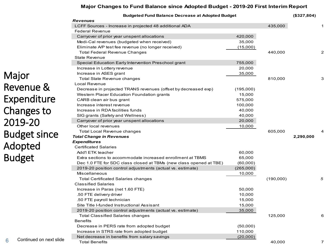#### **Major Changes to Fund Balance since Adopted Budget - 2019-20 First Interim Report**

|            | <b>Budgeted Fund Balance Decrease at Adopted Budget</b>            |           |           | (\$327,804) |                |
|------------|--------------------------------------------------------------------|-----------|-----------|-------------|----------------|
|            | <b>Revenues</b>                                                    |           |           |             |                |
|            | LCFF Sources - Increase in projected 48 additional ADA             |           | 435,000   |             |                |
|            | <b>Federal Revenue</b>                                             |           |           |             |                |
|            | Carryover of prior year unspent allocations                        | 420,000   |           |             |                |
|            | Medi-Cal revenues (budgeted when received)                         | 35,000    |           |             |                |
|            | Eliminate A/P test fee revenue (no longer received)                | (15,000)  |           |             |                |
|            | <b>Total Federal Revenue Changes</b>                               |           | 440,000   |             | $\overline{2}$ |
|            | <b>State Revenue</b>                                               |           |           |             |                |
|            | Special Education Early Intervention Preschool grant               | 755,000   |           |             |                |
|            | Increase in Lottery revenue                                        | 20,000    |           |             |                |
|            | Increase in ASES grant                                             | 35,000    |           |             |                |
|            | Total State Revenue changes                                        |           | 810,000   |             | 3              |
|            | Local Revenue                                                      |           |           |             |                |
|            | Decrease in projected TRANS revenues (offset by decreased exp)     | (195,000) |           |             |                |
|            | Western Placer Education Foundation grants                         | 15,000    |           |             |                |
| re         | CARB clean air bus grant                                           | 575,000   |           |             |                |
|            | Increase interest revenue                                          | 100,000   |           |             |                |
| 0          | Increase in RDA facilities funds                                   | 40,000    |           |             |                |
|            | SIG grants (Safety and Wellness)                                   | 40,000    |           |             |                |
|            | Carryover of prior year unspent allocations                        | 20,000    |           |             |                |
|            | Other local revenues                                               | 10,000    |           |             |                |
|            | Total Local Revenue changes                                        |           | 605,000   |             | 4              |
| າce        | <b>Total Change in Revenues</b>                                    |           |           | 2,290,000   |                |
|            | <b>Expenditures</b>                                                |           |           |             |                |
|            | <b>Certificated Salaries</b>                                       |           |           |             |                |
|            | Add'l ETK teacher                                                  | 60,000    |           |             |                |
|            | Extra sections to accommodate increased enrollment at TBMS         | 65,000    |           |             |                |
|            | Dec 1.0 FTE for SDC class closed at TBMs (new class opened at TBE) | (60,000)  |           |             |                |
|            | 2019-20 position control adjustments (actual vs. estimate)         | (265,000) |           |             |                |
|            | <b>Miscellaneous</b>                                               | 10,000    |           |             |                |
|            | <b>Total Certificated Salaries changes</b>                         |           | (190,000) |             | 5              |
|            | <b>Classified Salaries</b>                                         |           |           |             |                |
|            | Increase in Paras (net 1.60 FTE)                                   | 50,000    |           |             |                |
|            | .50 FTE delivery driver                                            | 10,000    |           |             |                |
|            | .50 FTE payroll technician                                         | 15,000    |           |             |                |
|            | Site Title I-funded Instructional Assisant                         | 15,000    |           |             |                |
|            | 2019-20 position control adjustments (actual vs. estimate)         | 35,000    |           |             |                |
|            | Total Classified Salaries changes                                  |           | 125,000   |             | 6              |
|            | <b>Benefits</b>                                                    |           |           |             |                |
|            | Decrease in PERS rate from adopted budget                          | (50,000)  |           |             |                |
|            | Increase in STRS rate from adopted budget                          | 110,000   |           |             |                |
| next slide | Net decrease in benefits from salary savings                       | (20,000)  |           |             |                |
|            | <b>Total Benefits</b>                                              |           | 40.000    |             | 7              |

Major Revenue & Expenditu Changes to 2019-20 **Budget sir** Adopted Budget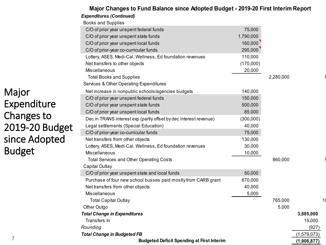#### *Expenditures (Continued)* Books and Supplies C/O of prior year unspent federal funds 75,000  $\sim$  75,000 C/O of prior year unspent state funds 1,790,000 compared to 1,790,000 compared to 1,790,000 compared to 1,790,000 compared to 1,790,000 compared to  $\sim$  1,790,000 compared to  $\sim$  1,790,000 compared to  $\sim$  1,790,000 compa C/O of prior year unspent local funds 160,000 and 160,000 C/O of prior-year co-curricular funds 295,000 Lottery, ASES, Medi-Cal, Wellness, Ed foundation revenues 110,000 Net transfers to other objects (170,000) Miscellaneous 20,000 Total Books and Supplies 2,280,000 8 and Supplies 2,280,000 8 and 2,280,000 8 and 2,280,000 8 and 2,280,000 8 and 2,280,000 8 and 2,280,000 8 and 2,280,000 8 and 2,280,000 8 and 2,280,000 8 and 2,280,000 8 and 2,280,000 8 Services & Other Operating Expenditures Net increase in nonpublic schools/agencies budgets 140,000 C/O of prior year unspent federal funds 150,000 C/O of prior year unspent state funds 500,000 C/O of prior year unspent local funds 85,000 models and the set of the set of the set of the set of the set of the set of the set of the set of the set of the set of the set of the set of the set of the set of the set of t Dec in TRANS interest exp (partly offset by dec interest revenue) (300,000) Legal settlements (Special Education) 40,000 C/O of prior-year co-curricular funds 75,000 Net transfers from other objects 130,000 Lottery, ASES, Medi-Cal, Wellness, Ed foundation revenues 30,000 Miscellaneous 10,000 Total Services and Other Operating Costs 860,000 9 and 2012 12:00 860,000 9 and 2012 12:00 9 and 2013 12:00 9 and 2013 12:00 9 and 2013 12:00 9 and 2013 12:00 9 and 2013 12:00 9 and 2013 12:00 9 and 2013 12:00 9 and 2013 1 Capital Outlay C/O of prior year unspent state and local funds 50,000 SO,000 Purchase of four new school busses paid mostly from CARB grant 670,000 Net transfers from other objects 40,000 Miscellaneous 5,000 Total Capital Outlay 765,000 10 Other Outgo 5,000 *Total Change in Expenditures* **3,885,000** Transfers In 15,000 *Rounding* (927) *Total Change in Budgeted FB* (1,579,073) **Budgeted Deficit Spending at First Interim (1,906,877)**

#### **Major Changes to Fund Balance since Adopted Budget - 2019-20 First Interim Report**

Major Expenditure Changes to 2019-20 Budget since Adopted Budget

7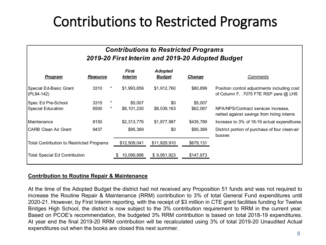### Contributions to Restricted Programs

#### *Contributions to Restricted Programs 2019-20 First Interim and 2019-20 Adopted Budget*

| <b>Program</b>                                   | <b>Resource</b> |         | <b>First</b><br><i><b>Interim</b></i> | <b>Adopted</b><br><b>Budget</b> | <b>Change</b> | Comments                                                                             |
|--------------------------------------------------|-----------------|---------|---------------------------------------|---------------------------------|---------------|--------------------------------------------------------------------------------------|
| Special Ed-Basic Grant<br>(PL94-142)             | 3310            |         | \$1,993,659                           | \$1,912,760                     | \$80,899      | Position control adjustments including cost<br>of Column F, .7075 FTE RSP para @ LHS |
| Spec Ed Pre-School                               | 3315            |         | \$5,007                               | \$0                             | \$5,007       |                                                                                      |
| Special Education                                | 6500            | $\star$ | \$8,101,230                           | \$8,039,163                     | \$62,067      | NPA/NPS/Contract services increase,<br>netted against savings from hiring interns    |
| <b>Maintenance</b>                               | 8150            |         | \$2,313,776                           | \$1,877,987                     | \$435,789     | Increase to 3% of 18-19 actual expenditures                                          |
| <b>CARB Clean Air Grant</b>                      | 9437            |         | \$95,369                              | \$0                             | \$95,369      | District portion of purchase of four clean-air<br>busses                             |
| <b>Total Contribution to Restricted Programs</b> |                 |         | \$12,509,041                          | \$11,829,910                    | \$679,131     |                                                                                      |
| <b>Total Special Ed Contribution</b>             |                 |         | 10,099,896                            | \$9,951,923                     | \$147,973     |                                                                                      |

#### **Contribution to Routine Repair & Maintenance**

At the time of the Adopted Budget the district had not received any Proposition 51 funds and was not required to increase the Routine Repair & Maintenance (RRM) contribution to 3% of total General Fund expenditures until 2020-21. However, by First Interim reporting, with the receipt of \$3 million in CTE grant facilities funding for Twelve Bridges High School, the district is now subject to the 3% contribution requirement to RRM in the current year. Based on PCOE's recommendation, the budgeted 3% RRM contribution is based on total 2018-19 expenditures. At year end the final 2019-20 RRM contribution will be recalculated using 3% of total 2019-20 Unaudited Actual expenditures out when the books are closed this next summer.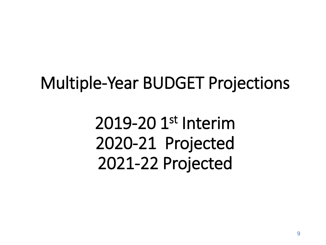## Multiple-Year BUDGET Projections

2019-20 1st Interim 2020-21 Projected 2021-22 Projected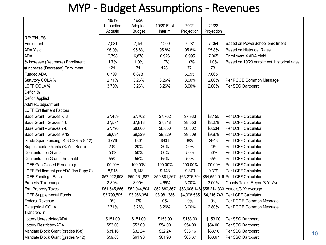#### MYP - Budget Assumptions - Revenues

|                                        | 18/19        | 19/20         |                |             |            |                                                |
|----------------------------------------|--------------|---------------|----------------|-------------|------------|------------------------------------------------|
|                                        | Unaudited    | Adopted       | 19/20 First    | 20/21       | 21/22      |                                                |
|                                        | Actuals      | <b>Budget</b> | <b>Interim</b> | Projection  | Projection |                                                |
| <b>REVENUES</b>                        |              |               |                |             |            |                                                |
| Enrollment                             | 7,081        | 7,159         | 7,209          | 7,281       | 7,354      | Based on PowerSchool enrollment                |
| <b>ADA Yield</b>                       | 96.0%        | 95.8%         | 95.8%          | 95.8%       | 95.8%      | <b>Based on Historical Rates</b>               |
| <b>ADA</b>                             | 6,798        | 6,878         | 6,926          | 6,995       | 7,065      | Enrollment X ADA Yield                         |
| % Increase (Decrease) Enrollment       | 1.7%         | 1.0%          | 1.7%           | 1.0%        | 1.0%       | Based on 19/20 enrollment, historical rates    |
| # Increase (Decrease) Enrollment       | 121          | 71            | 128            | 72          | 73         |                                                |
| <b>Funded ADA</b>                      | 6,799        | 6,878         |                | 6,995       | 7,065      |                                                |
| Statutory COLA %                       | 2.71%        | 3.26%         | 3.26%          | 3.00%       | 2.80%      | Per PCOE Common Message                        |
| LCFF COLA %                            | 3.70%        | 3.26%         | 3.26%          | 3.00%       | 2.80%      | Per SSC Dartboard                              |
| Deficit %                              |              |               |                |             |            |                                                |
| Deficit Applied                        |              |               |                |             |            |                                                |
| Add'l RL adjustment                    |              |               |                |             |            |                                                |
| <b>LCFF Entitlement Factors:</b>       |              |               |                |             |            |                                                |
| Base Grant - Grades K-3                | \$7,459      | \$7,702       | \$7,702        | \$7,933     | \$8,155    | Per LCFF Calculator                            |
| Base Grant - Grades 4-6                | \$7,571      | \$7,818       | \$7,818        | \$8,053     | \$8,278    | Per LCFF Calculator                            |
| Base Grant - Grades 7-8                | \$7,796      | \$8,060       | \$8,050        | \$8,302     | \$8,534    | Per LCFF Calculator                            |
| Base Grant - Grades 9-12               | \$9,034      | \$9,329       | \$9,329        | \$9,609     | \$9,878    | Per LCFF Calculator                            |
| Grade Span Funding (K-3 CSR & 9-12)    | \$776        | \$801         | \$801          | \$825       | \$848      | Per LCFF Calculator                            |
| Supplemental Grants (% Adj. Base)      | 20%          | 20%           | 20%            | 20%         | 20%        | Per LCFF Calculator                            |
| <b>Concentration Grants</b>            | 50%          | 50%           | 50%            | 50%         | 50%        | Per LCFF Calculator                            |
| <b>Concentration Grant Threshold</b>   | 55%          | 55%           | 55%            | 55%         | 55%        | Per LCFF Calculator                            |
| <b>LCFF Gap Closed Percentage</b>      | 100.00%      | 100.00%       | 100.00%        | 100.00%     | 100.00%    | Per LCFF Calculator                            |
| LCFF Entitlement per ADA (Inc Supp \$) | 8,915        | 9,143         | 9,143          | 9,379       | 9,379      | Per LCFF Calculator                            |
| <b>LCFF Funding - Base</b>             | \$57,022,998 | \$59,461,887  | \$59,881,267   |             |            | \$63,276,794 \$64,650,016 Per LCFF Calculator  |
| Property Tax change                    | 3.80%        | 3.00%         | 4.65%          | 3.00%       | 3.00%      | County Taxes Report/3-Yr Ave.                  |
| <b>Est. Property Taxes</b>             | \$51,545,855 | \$52,044,804  | \$52,880,367   |             |            | \$53,606,148 \$55,214,333 Actuals/3-Yr Average |
| <b>LCFF Supplemental Funds</b>         | \$3,799,505  | \$3,966,354   | \$3,981,386    | \$4,098,535 |            | \$4,216,743 Per LCFF Calculator                |
| <b>Federal Revenue</b>                 | $0\%$        | $0\%$         | $0\%$          | $0\%$       | $0\%$      | Per PCOE Common Message                        |
| <b>Categorical COLA</b>                | 2.71%        | 3.26%         | 3.26%          | 3.00%       | 2.80%      | Per PCOE Common Message                        |
| Transfers In                           |              |               |                |             |            |                                                |
| Lottery Unrestricted/ADA               | \$151.00     | \$151.00      | \$153.00       | \$153.00    | \$153.00   | Per SSC Dartboard                              |
| Lottery Restricted/ADA                 | \$53.00      | \$53.00       | \$54.00        | \$54.00     | \$54.00    | Per SSC Dartboard                              |
| Mandate Block Grant (grades K-8)       | \$31.16      | \$32.24       | \$32.24        | \$33.16     | \$33.16    | Per SSC Dartboard                              |
| Mandate Block Grant (grades 9-12)      | \$59.83      | \$61.90       | \$61.90        | \$63.67     | \$63.67    | Per SSC Dartboard                              |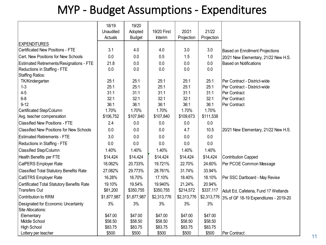#### MYP - Budget Assumptions - Expenditures

|                                                 | 18/19       | 19/20         |             |             |             |                                        |
|-------------------------------------------------|-------------|---------------|-------------|-------------|-------------|----------------------------------------|
|                                                 | Unaudited   | Adopted       | 19/20 First | 20/21       | 21/22       |                                        |
|                                                 | Actuals     | <b>Budget</b> | Interim     | Projection  | Projection  |                                        |
| <b>EXPENDITURES</b>                             |             |               |             |             |             |                                        |
| <b>Certificated New Positions - FTE</b>         | 3.1         | 4.0           | 4.0         | 3.0         | 3.0         | <b>Based on Enrollment Projections</b> |
| Cert. New Positions for New Schools             | 0.0         | 0.0           | 0.5         | 1.5         | 1.0         | 20/21 New Elementary, 21/22 New H.S.   |
| <b>Estimated Retirements/Resignations - FTE</b> | 21.8        | 0.0           | 0.0         | 0.0         | 0.0         | <b>Based on Notifications</b>          |
| Reductions in Staffing - FTE                    | 0.0         | 0.0           | 0.0         | 0.0         | 0.0         |                                        |
| Staffing Ratios:                                |             |               |             |             |             |                                        |
| TK/Kindergarten                                 | 25:1        | 25:1          | 25:1        | 25:1        | 25:1        | Per Contract - District-wide           |
| $1 - 3$                                         | 25:1        | 25:1          | 25:1        | 25:1        | 25:1        | Per Contract - District-wide           |
| $4 - 5$                                         | 31:1        | 31:1          | 31:1        | 31:1        | 31:1        | Per Contract                           |
| $6 - 8$                                         | 32:1        | 32:1          | 32:1        | 32:1        | 32:1        | Per Contract                           |
| $9 - 12$                                        | 36:1        | 36:1          | 36:1        | 36:1        | 36:1        | Per Contract                           |
| Certificated Step/Column                        | 1.70%       | 1.70%         | 1.70%       | 1.70%       | 1.70%       |                                        |
| Avg. teacher compensation                       | \$106,752   | \$107,840     | \$107,840   | \$109,673   | \$111,538   |                                        |
| <b>Classified New Positions - FTE</b>           | 2.4         | 0.0           | 0.0         | 0.0         | 0.0         |                                        |
| <b>Classified New Positions for New Schools</b> | 0.0         | 0.0           | 0.0         | 4.7         | 10.5        | 20/21 New Elementary, 21/22 New H.S.   |
| <b>Estimated Retirements - FTE</b>              | 3.0         | 0.0           | 0.0         | 0.0         | 0.0         |                                        |
| Reductions in Staffing - FTE                    | 0.0         | 0.0           | 0.0         | 0.0         | 0.0         |                                        |
| Classified Step/Column                          | 1.40%       | 1.40%         | 1.40%       | 1.40%       | 1.40%       |                                        |
| Health Benefits per FTE                         | \$14,424    | \$14,424      | \$14,424    | \$14,424    | \$14,424    | <b>Contribution Capped</b>             |
| CalPERS Employer Rate                           | 18.062%     | 20.733%       | 19.721%     | 22.70%      | 24.60%      | Per PCOE Common Message                |
| <b>Classified Total Statutory Benefits Rate</b> | 27.082%     | 29.773%       | 28.761%     | 31.74%      | 33.94%      |                                        |
| CalSTRS Employer Rate                           | 16.28%      | 16.70%        | 17.10%      | 18.40%      | 18.10%      | Per SSC Dartboard - May Revise         |
| Certificated Total Statutory Benefits Rate      | 19.10%      | 19.54%        | 19.940%     | 21.24%      | 20.94%      |                                        |
| Transfers Out                                   | \$81,200    | \$350,755     | \$350,755   | \$214,572   | \$337,117   | Adult Ed, Cafeteria, Fund 17 Wetlands  |
| Contribution to RRM                             | \$1,877,987 | \$1,877,987   | \$2,313,776 | \$2,313,776 | \$2,313,776 | 3% of GF 18-19 Expenditures - 2019-20  |
| Designated for Economic Uncertainty             | 3%          | 3%            | 3%          | 3%          | 3%          |                                        |
| Site Allocations:                               |             |               |             |             |             |                                        |
| Elementary                                      | \$47.00     | \$47.00       | \$47.00     | \$47.00     | \$47.00     |                                        |
| Middle School                                   | \$58.50     | \$58.50       | \$58.50     | \$58.50     | \$58.50     |                                        |
| <b>High School</b>                              | \$83.75     | \$83.75       | \$83.75     | \$83.75     | \$83.75     |                                        |
| Lottery per teacher                             | \$500       | \$500         | \$500       | \$500       | \$500       | Per Contract                           |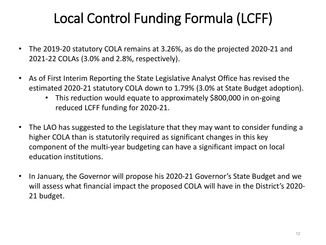## Local Control Funding Formula (LCFF)

- The 2019-20 statutory COLA remains at 3.26%, as do the projected 2020-21 and 2021-22 COLAs (3.0% and 2.8%, respectively).
- As of First Interim Reporting the State Legislative Analyst Office has revised the estimated 2020-21 statutory COLA down to 1.79% (3.0% at State Budget adoption).
	- This reduction would equate to approximately \$800,000 in on-going reduced LCFF funding for 2020-21.
- The LAO has suggested to the Legislature that they may want to consider funding a higher COLA than is statutorily required as significant changes in this key component of the multi-year budgeting can have a significant impact on local education institutions.
- In January, the Governor will propose his 2020-21 Governor's State Budget and we will assess what financial impact the proposed COLA will have in the District's 2020- 21 budget.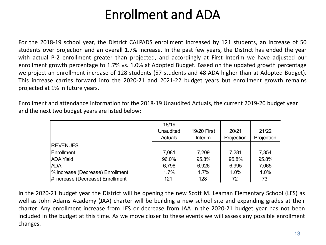### Enrollment and ADA

For the 2018-19 school year, the District CALPADS enrollment increased by 121 students, an increase of 50 students over projection and an overall 1.7% increase. In the past few years, the District has ended the year with actual P-2 enrollment greater than projected, and accordingly at First Interim we have adjusted our enrollment growth percentage to 1.7% vs. 1.0% at Adopted Budget. Based on the updated growth percentage we project an enrollment increase of 128 students (57 students and 48 ADA higher than at Adopted Budget). This increase carries forward into the 2020-21 and 2021-22 budget years but enrollment growth remains projected at 1% in future years.

Enrollment and attendance information for the 2018-19 Unaudited Actuals, the current 2019-20 budget year and the next two budget years are listed below:

|                                  | 18/19          |                |            |            |
|----------------------------------|----------------|----------------|------------|------------|
|                                  | Unaudited      | 19/20 First    | 20/21      | 21/22      |
|                                  | <b>Actuals</b> | <b>Interim</b> | Projection | Projection |
| <b>REVENUES</b>                  |                |                |            |            |
| Enrollment                       | 7,081          | 7,209          | 7,281      | 7,354      |
| <b>ADA Yield</b>                 | 96.0%          | 95.8%          | 95.8%      | 95.8%      |
| <b>ADA</b>                       | 6,798          | 6,926          | 6,995      | 7,065      |
| % Increase (Decrease) Enrollment | 1.7%           | 1.7%           | 1.0%       | 1.0%       |
| # Increase (Decrease) Enrollment | 121            | 128            | 72         | 73         |

In the 2020-21 budget year the District will be opening the new Scott M. Leaman Elementary School (LES) as well as John Adams Academy (JAA) charter will be building a new school site and expanding grades at their charter. Any enrollment increase from LES or decrease from JAA in the 2020-21 budget year has not been included in the budget at this time. As we move closer to these events we will assess any possible enrollment changes.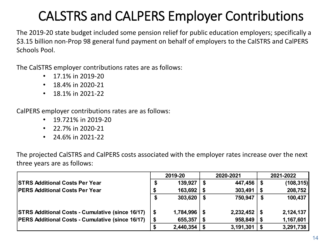## CALSTRS and CALPERS Employer Contributions

The 2019-20 state budget included some pension relief for public education employers; specifically a \$3.15 billion non-Prop 98 general fund payment on behalf of employers to the CalSTRS and CalPERS Schools Pool.

The CalSTRS employer contributions rates are as follows:

- 17.1% in 2019-20
- $\cdot$  18.4% in 2020-21
- 18.1% in 2021-22

CalPERS employer contributions rates are as follows:

- 19.721% in 2019-20
- $22.7\%$  in 2020-21
- 24.6% in 2021-22

The projected CalSTRS and CalPERS costs associated with the employer rates increase over the next three years are as follows:

|                                                         |  | 2019-20   | 2020-2021 |                  |  | 2021-2022  |  |  |
|---------------------------------------------------------|--|-----------|-----------|------------------|--|------------|--|--|
| <b>STRS Additional Costs Per Year</b>                   |  | 139,927   | - \$      | $447,456$   \$   |  | (108, 315) |  |  |
| <b>PERS Additional Costs Per Year</b>                   |  | 163,692   |           | 303,491          |  | 208,752    |  |  |
|                                                         |  | 303,620   | - \$      | 750,947          |  | 100,437    |  |  |
| <b>STRS Additional Costs - Cumulative (since 16/17)</b> |  | 1,784,996 |           | $2,232,452$   \$ |  | 2,124,137  |  |  |
| <b>PERS Additional Costs - Cumulative (since 16/17)</b> |  | 655,357   |           | 958,849          |  | 1,167,601  |  |  |
|                                                         |  | 2,440,354 |           | 3,191,301        |  | 3,291,738  |  |  |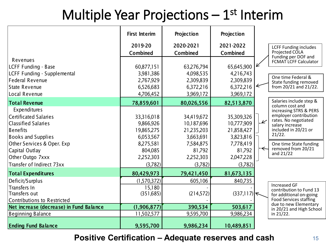## Multiple Year Projections  $-1$ <sup>st</sup> Interim

| Revenues<br>LCFF Funding - Base<br>LCFF Funding - Supplemental                                                                                                                                                                                      | <b>First Interim</b><br>2019-20<br>Combined<br>60,877,151<br>3,981,386                                           | Projection<br>2020-2021<br>Combined<br>63,276,794<br>4,098,535                                                   | Projection<br>2021-2022<br><b>Combined</b><br>65,645,900<br>4,216,743                                            | <b>LCFF Funding includes</b><br>Projected COLA<br>Funding per DOF and<br>FCMAT LCFF Calculator<br>One time Federal &                                                                                                                         |
|-----------------------------------------------------------------------------------------------------------------------------------------------------------------------------------------------------------------------------------------------------|------------------------------------------------------------------------------------------------------------------|------------------------------------------------------------------------------------------------------------------|------------------------------------------------------------------------------------------------------------------|----------------------------------------------------------------------------------------------------------------------------------------------------------------------------------------------------------------------------------------------|
| <b>Federal Revenue</b><br><b>State Revenue</b>                                                                                                                                                                                                      | 2,767,929<br>6,526,683                                                                                           | 2,309,839<br>6,372,216                                                                                           | 2,309,839<br>6,372,216                                                                                           | State funding removed<br>from 20/21 and 21/22.                                                                                                                                                                                               |
| Local Revenue                                                                                                                                                                                                                                       | 4,706,452                                                                                                        | 3,969,172                                                                                                        | 3,969,172                                                                                                        |                                                                                                                                                                                                                                              |
| <b>Total Revenue</b><br>Expenditures<br><b>Certificated Salaries</b><br><b>Classified Salaries</b><br><b>Benefits</b><br><b>Books and Supplies</b><br>Other Services & Oper. Exp<br>Capital Outlay<br>Other Outgo 7xxx<br>Transfer of Indirect 73xx | 78,859,601<br>33,316,018<br>9,866,926<br>19,865,275<br>6,053,567<br>8,275,581<br>804,085<br>2,252,303<br>(3,782) | 80,026,556<br>34,419,672<br>10,187,696<br>21,235,203<br>3,663,691<br>7,584,875<br>81,792<br>2,252,303<br>(3,782) | 82,513,870<br>35,309,326<br>10,777,909<br>21,858,427<br>3,823,816<br>7,778,419<br>81,792<br>2,047,228<br>(3,782) | Salaries include step &<br>column cost and<br>increasing STRS & PERS<br>employer contribution<br>rates. No negotiated<br>⊻<br>salary increase<br>included in 20/21 or<br>21/22.<br>One time State funding<br>removed from 20/21<br>and 21/22 |
| <b>Total Expenditures</b>                                                                                                                                                                                                                           | 80,429,973                                                                                                       | 79,421,450                                                                                                       | 81,673,135                                                                                                       |                                                                                                                                                                                                                                              |
| Deficit/Surplus<br>Transfers In<br>Transfers out<br>Contributions to Restricted                                                                                                                                                                     | (1,570,372)<br>15,180<br>(351,685)                                                                               | 605,106<br>(214, 572)                                                                                            | 840,735<br>(337,117)                                                                                             | <b>Increased GF</b><br>contribution to Fund 13<br>for additional on-going<br><b>Food Services staffing</b>                                                                                                                                   |
| Net increase (decrease) in Fund Balance<br><b>Beginning Balance</b>                                                                                                                                                                                 | (1,906,877)<br>11,502,577                                                                                        | 390,534<br>9,595,700                                                                                             | 503,617<br>9,986,234                                                                                             | due to new Elementary<br>in 20/21 and High School<br>in 21/22.                                                                                                                                                                               |
| <b>Ending Fund Balance</b>                                                                                                                                                                                                                          | 9,595,700                                                                                                        | 9,986,234                                                                                                        | 10,489,851                                                                                                       |                                                                                                                                                                                                                                              |

**Positive Certification – Adequate reserves and cash** <sup>15</sup>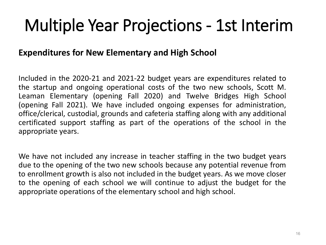## Multiple Year Projections - 1st Interim

#### **Expenditures for New Elementary and High School**

Included in the 2020-21 and 2021-22 budget years are expenditures related to the startup and ongoing operational costs of the two new schools, Scott M. Leaman Elementary (opening Fall 2020) and Twelve Bridges High School (opening Fall 2021). We have included ongoing expenses for administration, office/clerical, custodial, grounds and cafeteria staffing along with any additional certificated support staffing as part of the operations of the school in the appropriate years.

We have not included any increase in teacher staffing in the two budget years due to the opening of the two new schools because any potential revenue from to enrollment growth is also not included in the budget years. As we move closer to the opening of each school we will continue to adjust the budget for the appropriate operations of the elementary school and high school.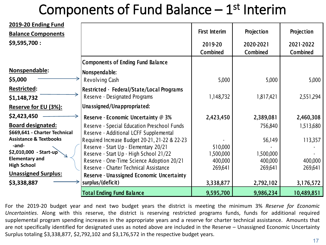## Components of Fund Balance  $-1$ <sup>st</sup> Interim

| 2019-20 Ending Fund               |                                               |                      |                 |                 |
|-----------------------------------|-----------------------------------------------|----------------------|-----------------|-----------------|
| <b>Balance Components</b>         |                                               | <b>First Interim</b> | Projection      | Projection      |
| \$9,595,700:                      |                                               | 2019-20              | 2020-2021       | 2021-2022       |
|                                   |                                               | Combined             | <b>Combined</b> | <b>Combined</b> |
|                                   | <b>Components of Ending Fund Balance</b>      |                      |                 |                 |
| Nonspendable:                     | Nonspendable:                                 |                      |                 |                 |
| \$5,000                           | Revolving Cash                                | 5,000                | 5,000           | 5,000           |
| <b>Restricted:</b>                | Restricted - Federal/State/Local Programs     |                      |                 |                 |
| \$1,148,732                       | Reserve - Designated Programs                 | 1,148,732            | 1,817,421       | 2,551,294       |
| <b>Reserve for EU (3%):</b>       | Unassigned/Unappropriated:                    |                      |                 |                 |
| \$2,423,450                       | Reserve - Economic Uncertainty @ 3%           | 2,423,450            | 2,389,081       | 2,460,308       |
| <b>Board designated:</b>          | Reserve - Special Education Preschool Funds   |                      | 756,840         | 1,513,680       |
| \$669,641 - Charter Technical     | Reserve - Additional LCFF Supplemental        |                      |                 |                 |
| <b>Assistance &amp; Textbooks</b> | Required Increase Budget 20-21, 21-22 & 22-23 |                      | 56,149          | 113,357         |
| -and-                             | Reserve - Start Up - Elementary 20/21         | 510,000              |                 |                 |
| \$2,010,000 - Start-up            | Reserve - Start Up - High School 21/22        | ,500,000             | 1,500,000       |                 |
| <b>Elementary and</b>             | Reserve - One-Time Science Adoption 20/21     | 400,000              | 400,000         | 400,000         |
| <b>High School</b>                | Reserve - Charter Technical Assistance        | 269,641              | 269,641         | 269,641         |
| <b>Unassigned Surplus:</b>        | Reserve - Unassigned Economic Uncertainty     |                      |                 |                 |
| \$3,338,887                       | surplus/(deficit)                             | 3,338,877            | 2,792,102       | 3,176,572       |
|                                   | <b>Total Ending Fund Balance</b>              | 9,595,700            | 9,986,234       | 10,489,851      |

For the 2019-20 budget year and next two budget years the district is meeting the minimum 3% *Reserve for Economic Uncertainties*. Along with this reserve, the district is reserving restricted programs funds, funds for additional required supplemental program spending increases in the appropriate years and a reserve for charter technical assistance. Amounts that are not specifically identified for designated uses as noted above are included in the Reserve – Unassigned Economic Uncertainty Surplus totaling \$3,338,877, \$2,792,102 and \$3,176,572 in the respective budget years.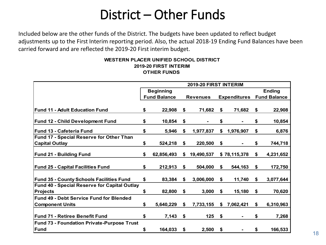### District – Other Funds

Included below are the other funds of the District. The budgets have been updated to reflect budget adjustments up to the First Interim reporting period. Also, the actual 2018-19 Ending Fund Balances have been carried forward and are reflected the 2019-20 First interim budget.

#### **OTHER FUNDS WESTERN PLACER UNIFIED SCHOOL DISTRICT 2019-20 FIRST INTERIM**

|                                                     | 2019-20 FIRST INTERIM |                     |    |                 |    |                     |    |                     |  |
|-----------------------------------------------------|-----------------------|---------------------|----|-----------------|----|---------------------|----|---------------------|--|
|                                                     |                       | <b>Beginning</b>    |    |                 |    |                     |    | <b>Ending</b>       |  |
|                                                     |                       | <b>Fund Balance</b> |    | <b>Revenues</b> |    | <b>Expenditures</b> |    | <b>Fund Balance</b> |  |
|                                                     |                       |                     |    |                 |    |                     |    |                     |  |
| <b>Fund 11 - Adult Education Fund</b>               | \$                    | 22,908              | \$ | 71,682          | \$ | 71,682              | \$ | 22,908              |  |
| <b>Fund 12 - Child Development Fund</b>             | \$                    | 10,854              | \$ |                 | \$ |                     | \$ | 10,854              |  |
| <b>Fund 13 - Cafeteria Fund</b>                     | \$                    | 5,946               | \$ | 1,977,837       | \$ | 1,976,907           | \$ | 6,876               |  |
| Fund 17 - Special Reserve for Other Than            |                       |                     |    |                 |    |                     |    |                     |  |
| <b>Capital Outlay</b>                               | \$                    | 524,218             | \$ | 220,500         | \$ |                     | \$ | 744,718             |  |
| <b>Fund 21 - Building Fund</b>                      | \$                    | 62,856,493          | \$ | 19,490,537      |    | \$78,115,378        | \$ | 4,231,652           |  |
| <b>Fund 25 - Capital Facilities Fund</b>            | \$                    | 212,913             | \$ | 504,000         | \$ | 544,163             | \$ | 172,750             |  |
| <b>Fund 35 - County Schools Facilities Fund</b>     | \$                    | 83,384              | \$ | 3,006,000       | \$ | 11,740              | \$ | 3,077,644           |  |
| <b>Fund 40 - Special Reserve for Capital Outlay</b> |                       |                     |    |                 |    |                     |    |                     |  |
| <b>Projects</b>                                     | \$                    | 82,800              | \$ | 3,000           | \$ | 15,180              | \$ | 70,620              |  |
| <b>Fund 49 - Debt Service Fund for Blended</b>      |                       |                     |    |                 |    |                     |    |                     |  |
| <b>Component Units</b>                              | \$                    | 5,640,229           | \$ | 7,733,155       | \$ | 7,062,421           | \$ | 6,310,963           |  |
| Fund 71 - Retiree Benefit Fund                      | \$                    | 7,143               | \$ | 125             | \$ |                     | \$ | 7,268               |  |
| <b>Fund 73 - Foundation Private-Purpose Trust</b>   |                       |                     |    |                 |    |                     |    |                     |  |
| <b>Fund</b>                                         | \$                    | 164,033             | \$ | 2,500           | \$ |                     | \$ | 166,533             |  |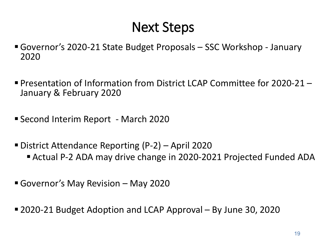### Next Steps

- Governor's 2020-21 State Budget Proposals SSC Workshop January 2020
- Presentation of Information from District LCAP Committee for 2020-21 January & February 2020
- Second Interim Report March 2020
- District Attendance Reporting (P-2) April 2020
	- Actual P-2 ADA may drive change in 2020-2021 Projected Funded ADA
- Governor's May Revision May 2020
- 2020-21 Budget Adoption and LCAP Approval By June 30, 2020